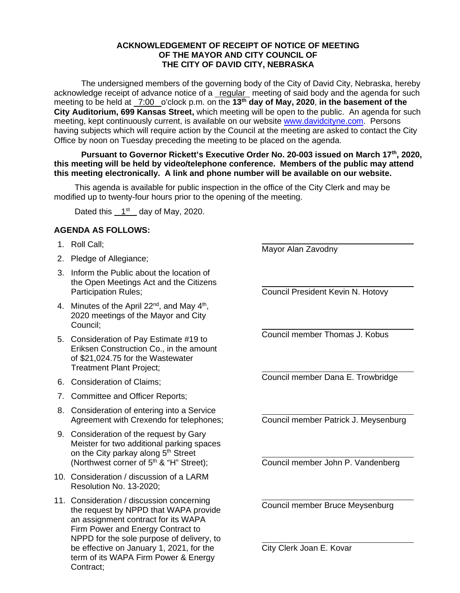## **ACKNOWLEDGEMENT OF RECEIPT OF NOTICE OF MEETING OF THE MAYOR AND CITY COUNCIL OF THE CITY OF DAVID CITY, NEBRASKA**

The undersigned members of the governing body of the City of David City, Nebraska, hereby acknowledge receipt of advance notice of a regular meeting of said body and the agenda for such meeting to be held at 7:00 o'clock p.m. on the **13th day of May, 2020**, **in the basement of the City Auditorium, 699 Kansas Street,** which meeting will be open to the public. An agenda for such meeting, kept continuously current, is available on our websit[e www.davidcityne.com.](https://urldefense.proofpoint.com/v2/url?u=http-3A__www.davidcityne.com&d=DwMFAg&c=UCja3IwhyjPGYeHcG7oIbg&r=sTF4AptKcZUvAdPZH__AgXD7wYT5PTsm1dL8p3vwYO4&m=H_1JksRqSJf69XA0HV8uDjtaNsM1PhWMo-DkTNHrSaE&s=wLyFni_YrhiWLHduEQzSflZL77e5AtnnCpVJ-weajcE&e=) Persons having subjects which will require action by the Council at the meeting are asked to contact the City Office by noon on Tuesday preceding the meeting to be placed on the agenda.

**Pursuant to Governor Rickett's Executive Order No. 20-003 issued on March 17th, 2020, this meeting will be held by video/telephone conference. Members of the public may attend this meeting electronically. A link and phone number will be available on our website.**

This agenda is available for public inspection in the office of the City Clerk and may be modified up to twenty-four hours prior to the opening of the meeting.

Dated this  $1<sup>st</sup>$  day of May, 2020.

## **AGENDA AS FOLLOWS:**

- 1. Roll Call;
- 2. Pledge of Allegiance;
- 3. Inform the Public about the location of the Open Meetings Act and the Citizens Participation Rules;
- 4. Minutes of the April 22 $^{nd}$ , and May 4<sup>th</sup>, 2020 meetings of the Mayor and City Council;
- 5. Consideration of Pay Estimate #19 to Eriksen Construction Co., in the amount of \$21,024.75 for the Wastewater Treatment Plant Project;
- 6. Consideration of Claims;
- 7. Committee and Officer Reports;
- 8. Consideration of entering into a Service Agreement with Crexendo for telephones;
- 9. Consideration of the request by Gary Meister for two additional parking spaces on the City parkay along 5<sup>th</sup> Street (Northwest corner of  $5<sup>th</sup>$  & "H" Street);
- 10. Consideration / discussion of a LARM Resolution No. 13-2020;
- 11. Consideration / discussion concerning the request by NPPD that WAPA provide an assignment contract for its WAPA Firm Power and Energy Contract to NPPD for the sole purpose of delivery, to be effective on January 1, 2021, for the term of its WAPA Firm Power & Energy Contract;

Mayor Alan Zavodny

 $\overline{a}$ 

 $\overline{a}$ 

 $\overline{a}$ 

 $\overline{a}$ 

 $\overline{a}$ 

 $\overline{a}$ 

 $\overline{a}$ 

Council President Kevin N. Hotovy

 $\overline{a}$ Council member Thomas J. Kobus

Council member Dana E. Trowbridge

Council member Patrick J. Meysenburg

Council member John P. Vandenberg

Council member Bruce Meysenburg

City Clerk Joan E. Kovar